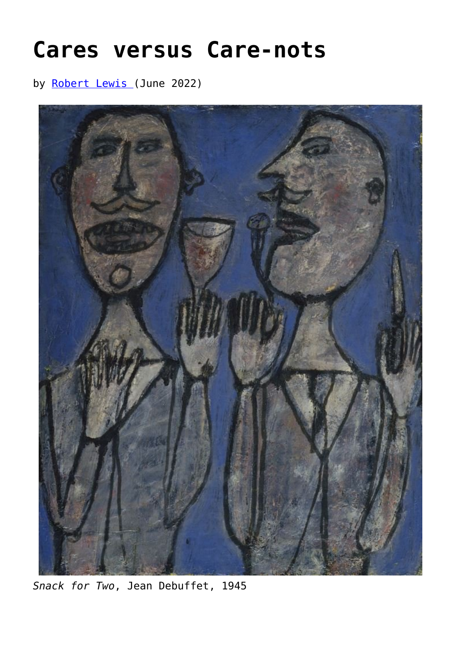## **[Cares versus Care-nots](https://www.newenglishreview.org/articles/cares-versus-care-nots/)**

by [Robert Lewis \(](https://www.newenglishreview.org/authors/robert-lewis/)June 2022)



*Snack for Two*, Jean Debuffet, 1945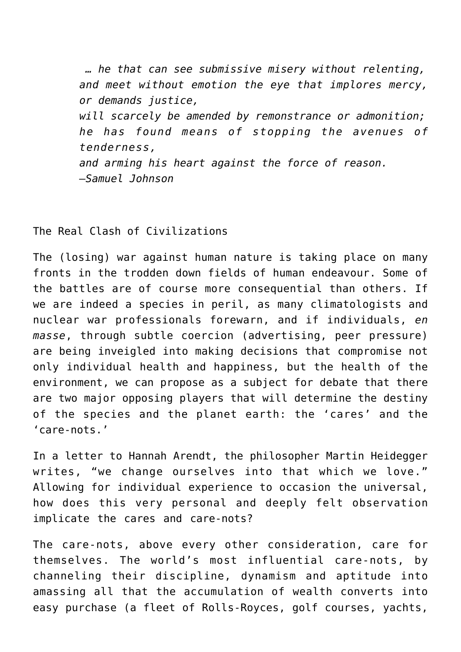*… he that can see submissive misery without relenting, and meet without emotion the eye that implores mercy, or demands justice, will scarcely be amended by remonstrance or admonition; he has found means of stopping the avenues of tenderness, and arming his heart against the force of reason. —Samuel Johnson*

The Real Clash of Civilizations

The (losing) war against human nature is taking place on many fronts in the trodden down fields of human endeavour. Some of the battles are of course more consequential than others. If we are indeed a species in peril, as many climatologists and nuclear war professionals forewarn, and if individuals, *en masse*, through subtle coercion (advertising, peer pressure) are being inveigled into making decisions that compromise not only individual health and happiness, but the health of the environment, we can propose as a subject for debate that there are two major opposing players that will determine the destiny of the species and the planet earth: the 'cares' and the 'care-nots.'

In a letter to Hannah Arendt, the philosopher Martin Heidegger writes, "we change ourselves into that which we love." Allowing for individual experience to occasion the universal, how does this very personal and deeply felt observation implicate the cares and care-nots?

The care-nots, above every other consideration, care for themselves. The world's most influential care-nots, by channeling their discipline, dynamism and aptitude into amassing all that the accumulation of wealth converts into easy purchase (a fleet of Rolls-Royces, golf courses, yachts,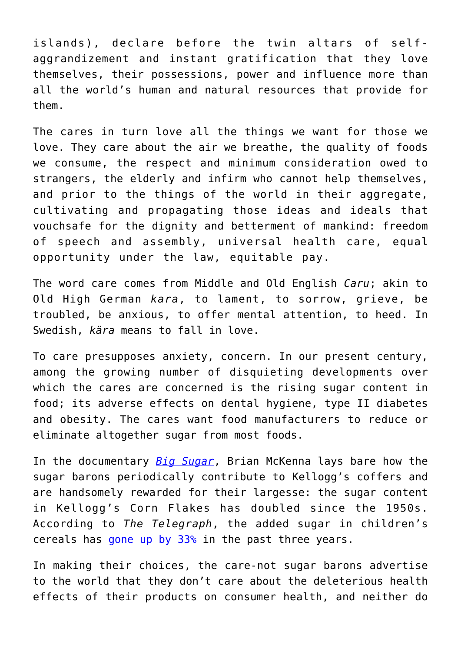islands), declare before the twin altars of selfaggrandizement and instant gratification that they love themselves, their possessions, power and influence more than all the world's human and natural resources that provide for them.

The cares in turn love all the things we want for those we love. They care about the air we breathe, the quality of foods we consume, the respect and minimum consideration owed to strangers, the elderly and infirm who cannot help themselves, and prior to the things of the world in their aggregate, cultivating and propagating those ideas and ideals that vouchsafe for the dignity and betterment of mankind: freedom of speech and assembly, universal health care, equal opportunity under the law, equitable pay.

The word care comes from Middle and Old English *Caru*; akin to Old High German *kara*, to lament, to sorrow, grieve, be troubled, be anxious, to offer mental attention, to heed. In Swedish, *kära* means to fall in love.

To care presupposes anxiety, concern. In our present century, among the growing number of disquieting developments over which the cares are concerned is the rising sugar content in food; its adverse effects on dental hygiene, type II diabetes and obesity. The cares want food manufacturers to reduce or eliminate altogether sugar from most foods.

In the documentary *[Big Sugar](https://youtu.be/LHmnkS4qBjw)*, Brian McKenna lays bare how the sugar barons periodically contribute to Kellogg's coffers and are handsomely rewarded for their largesse: the sugar content in Kellogg's Corn Flakes has doubled since the 1950s. According to *The Telegraph*, the added sugar in children's cereals has gone up by  $33\frac{8}{9}$  in the past three years.

In making their choices, the care-not sugar barons advertise to the world that they don't care about the deleterious health effects of their products on consumer health, and neither do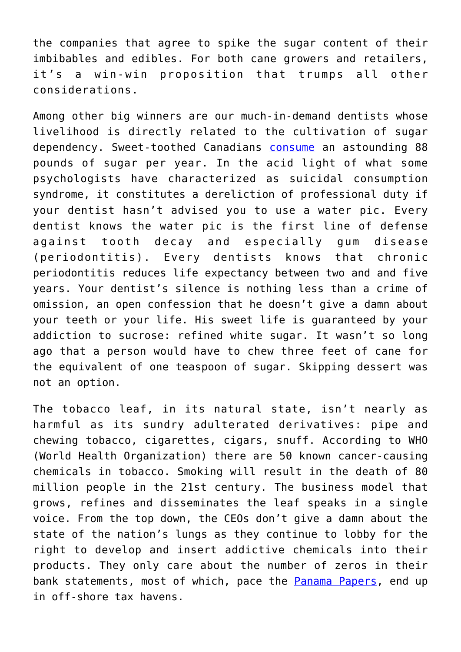the companies that agree to spike the sugar content of their imbibables and edibles. For both cane growers and retailers, it's a win-win proposition that trumps all other considerations.

Among other big winners are our much-in-demand dentists whose livelihood is directly related to the cultivation of sugar dependency. Sweet-toothed Canadians [consume](https://www.macleans.ca/society/health/sugar-and-health-how-much-sugar-do-you-eat-in-a-year/) an astounding 88 pounds of sugar per year. In the acid light of what some psychologists have characterized as suicidal consumption syndrome, it constitutes a dereliction of professional duty if your dentist hasn't advised you to use a water pic. Every dentist knows the water pic is the first line of defense against tooth decay and especially gum disease (periodontitis). Every dentists knows that chronic periodontitis reduces life expectancy between two and and five years. Your dentist's silence is nothing less than a crime of omission, an open confession that he doesn't give a damn about your teeth or your life. His sweet life is guaranteed by your addiction to sucrose: refined white sugar. It wasn't so long ago that a person would have to chew three feet of cane for the equivalent of one teaspoon of sugar. Skipping dessert was not an option.

The tobacco leaf, in its natural state, isn't nearly as harmful as its sundry adulterated derivatives: pipe and chewing tobacco, cigarettes, cigars, snuff. According to WHO (World Health Organization) there are 50 known cancer-causing chemicals in tobacco. Smoking will result in the death of 80 million people in the 21st century. The business model that grows, refines and disseminates the leaf speaks in a single voice. From the top down, the CEOs don't give a damn about the state of the nation's lungs as they continue to lobby for the right to develop and insert addictive chemicals into their products. They only care about the number of zeros in their bank statements, most of which, pace the **Panama Papers**, end up in off-shore tax havens.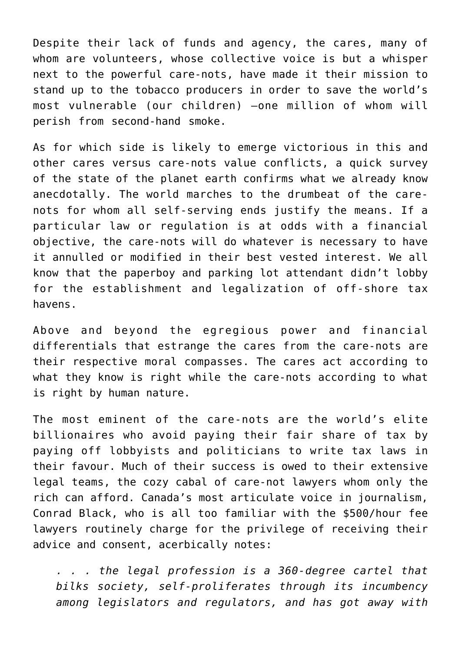Despite their lack of funds and agency, the cares, many of whom are volunteers, whose collective voice is but a whisper next to the powerful care-nots, have made it their mission to stand up to the tobacco producers in order to save the world's most vulnerable (our children) —one million of whom will perish from second-hand smoke.

As for which side is likely to emerge victorious in this and other cares versus care-nots value conflicts, a quick survey of the state of the planet earth confirms what we already know anecdotally. The world marches to the drumbeat of the carenots for whom all self-serving ends justify the means. If a particular law or regulation is at odds with a financial objective, the care-nots will do whatever is necessary to have it annulled or modified in their best vested interest. We all know that the paperboy and parking lot attendant didn't lobby for the establishment and legalization of off-shore tax havens.

Above and beyond the egregious power and financial differentials that estrange the cares from the care-nots are their respective moral compasses. The cares act according to what they know is right while the care-nots according to what is right by human nature.

The most eminent of the care-nots are the world's elite billionaires who avoid paying their fair share of tax by paying off lobbyists and politicians to write tax laws in their favour. Much of their success is owed to their extensive legal teams, the cozy cabal of care-not lawyers whom only the rich can afford. Canada's most articulate voice in journalism, Conrad Black, who is all too familiar with the \$500/hour fee lawyers routinely charge for the privilege of receiving their advice and consent, acerbically notes:

*. . . the legal profession is a 360-degree cartel that bilks society, self-proliferates through its incumbency among legislators and regulators, and has got away with*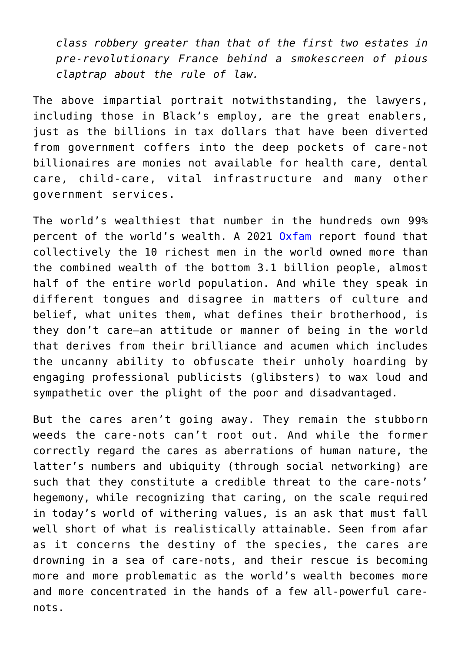*class robbery greater than that of the first two estates in pre-revolutionary France behind a smokescreen of pious claptrap about the rule of law.*

The above impartial portrait notwithstanding, the lawyers, including those in Black's employ, are the great enablers, just as the billions in tax dollars that have been diverted from government coffers into the deep pockets of care-not billionaires are monies not available for health care, dental care, child-care, vital infrastructure and many other government services.

The world's wealthiest that number in the hundreds own 99% percent of the world's wealth. A 2021 [Oxfam](https://www.newenglishreview.org/wiki/Oxfam) report found that collectively the 10 richest men in the world owned more than the combined wealth of the bottom 3.1 billion people, almost half of the entire world population. And while they speak in different tongues and disagree in matters of culture and belief, what unites them, what defines their brotherhood, is they don't care—an attitude or manner of being in the world that derives from their brilliance and acumen which includes the uncanny ability to obfuscate their unholy hoarding by engaging professional publicists (glibsters) to wax loud and sympathetic over the plight of the poor and disadvantaged.

But the cares aren't going away. They remain the stubborn weeds the care-nots can't root out. And while the former correctly regard the cares as aberrations of human nature, the latter's numbers and ubiquity (through social networking) are such that they constitute a credible threat to the care-nots' hegemony, while recognizing that caring, on the scale required in today's world of withering values, is an ask that must fall well short of what is realistically attainable. Seen from afar as it concerns the destiny of the species, the cares are drowning in a sea of care-nots, and their rescue is becoming more and more problematic as the world's wealth becomes more and more concentrated in the hands of a few all-powerful carenots.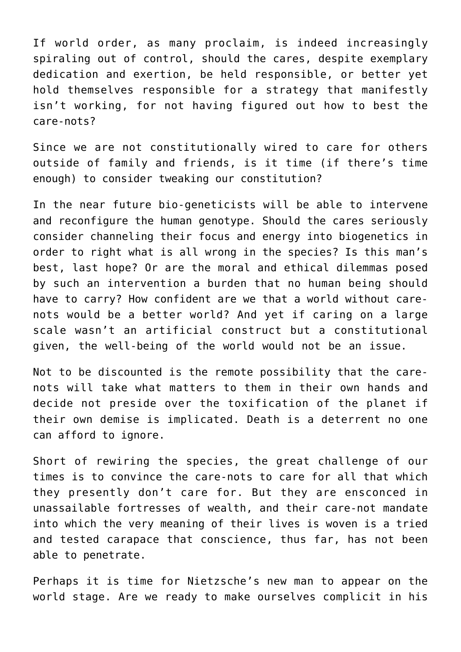If world order, as many proclaim, is indeed increasingly spiraling out of control, should the cares, despite exemplary dedication and exertion, be held responsible, or better yet hold themselves responsible for a strategy that manifestly isn't working, for not having figured out how to best the care-nots?

Since we are not constitutionally wired to care for others outside of family and friends, is it time (if there's time enough) to consider tweaking our constitution?

In the near future bio-geneticists will be able to intervene and reconfigure the human genotype. Should the cares seriously consider channeling their focus and energy into biogenetics in order to right what is all wrong in the species? Is this man's best, last hope? Or are the moral and ethical dilemmas posed by such an intervention a burden that no human being should have to carry? How confident are we that a world without carenots would be a better world? And yet if caring on a large scale wasn't an artificial construct but a constitutional given, the well-being of the world would not be an issue.

Not to be discounted is the remote possibility that the carenots will take what matters to them in their own hands and decide not preside over the toxification of the planet if their own demise is implicated. Death is a deterrent no one can afford to ignore.

Short of rewiring the species, the great challenge of our times is to convince the care-nots to care for all that which they presently don't care for. But they are ensconced in unassailable fortresses of wealth, and their care-not mandate into which the very meaning of their lives is woven is a tried and tested carapace that conscience, thus far, has not been able to penetrate.

Perhaps it is time for Nietzsche's new man to appear on the world stage. Are we ready to make ourselves complicit in his